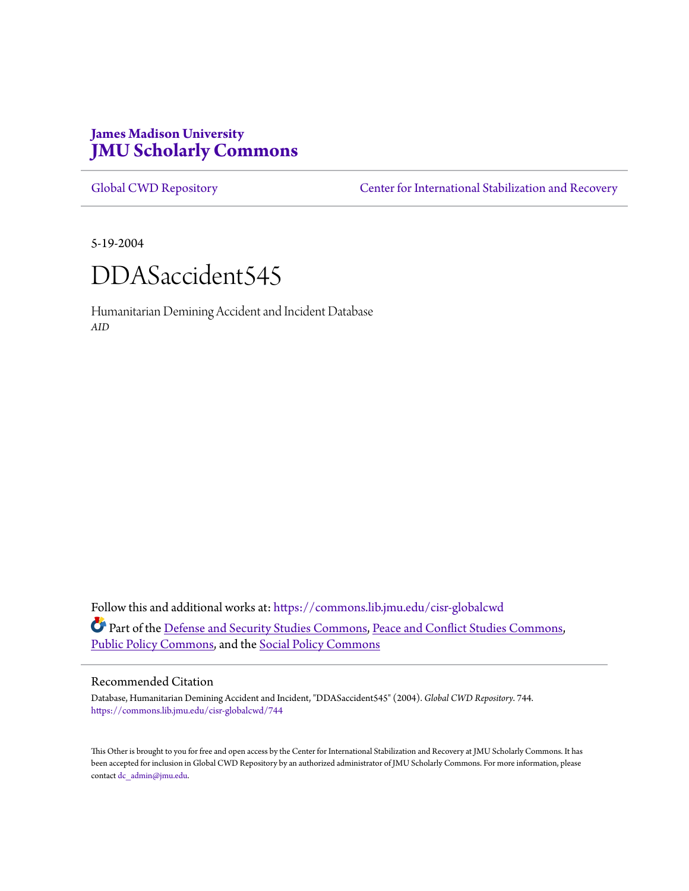# **James Madison University [JMU Scholarly Commons](https://commons.lib.jmu.edu?utm_source=commons.lib.jmu.edu%2Fcisr-globalcwd%2F744&utm_medium=PDF&utm_campaign=PDFCoverPages)**

[Global CWD Repository](https://commons.lib.jmu.edu/cisr-globalcwd?utm_source=commons.lib.jmu.edu%2Fcisr-globalcwd%2F744&utm_medium=PDF&utm_campaign=PDFCoverPages) **[Center for International Stabilization and Recovery](https://commons.lib.jmu.edu/cisr?utm_source=commons.lib.jmu.edu%2Fcisr-globalcwd%2F744&utm_medium=PDF&utm_campaign=PDFCoverPages)** 

5-19-2004



Humanitarian Demining Accident and Incident Database *AID*

Follow this and additional works at: [https://commons.lib.jmu.edu/cisr-globalcwd](https://commons.lib.jmu.edu/cisr-globalcwd?utm_source=commons.lib.jmu.edu%2Fcisr-globalcwd%2F744&utm_medium=PDF&utm_campaign=PDFCoverPages) Part of the [Defense and Security Studies Commons](http://network.bepress.com/hgg/discipline/394?utm_source=commons.lib.jmu.edu%2Fcisr-globalcwd%2F744&utm_medium=PDF&utm_campaign=PDFCoverPages), [Peace and Conflict Studies Commons](http://network.bepress.com/hgg/discipline/397?utm_source=commons.lib.jmu.edu%2Fcisr-globalcwd%2F744&utm_medium=PDF&utm_campaign=PDFCoverPages), [Public Policy Commons,](http://network.bepress.com/hgg/discipline/400?utm_source=commons.lib.jmu.edu%2Fcisr-globalcwd%2F744&utm_medium=PDF&utm_campaign=PDFCoverPages) and the [Social Policy Commons](http://network.bepress.com/hgg/discipline/1030?utm_source=commons.lib.jmu.edu%2Fcisr-globalcwd%2F744&utm_medium=PDF&utm_campaign=PDFCoverPages)

#### Recommended Citation

Database, Humanitarian Demining Accident and Incident, "DDASaccident545" (2004). *Global CWD Repository*. 744. [https://commons.lib.jmu.edu/cisr-globalcwd/744](https://commons.lib.jmu.edu/cisr-globalcwd/744?utm_source=commons.lib.jmu.edu%2Fcisr-globalcwd%2F744&utm_medium=PDF&utm_campaign=PDFCoverPages)

This Other is brought to you for free and open access by the Center for International Stabilization and Recovery at JMU Scholarly Commons. It has been accepted for inclusion in Global CWD Repository by an authorized administrator of JMU Scholarly Commons. For more information, please contact [dc\\_admin@jmu.edu.](mailto:dc_admin@jmu.edu)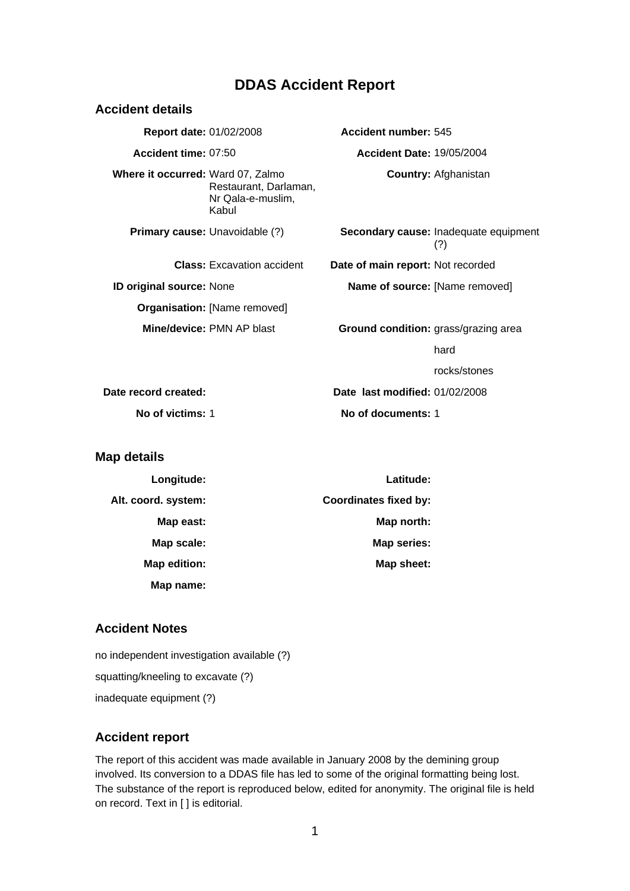# **DDAS Accident Report**

| <b>Accident details</b>           |                                                     |                                      |                                              |
|-----------------------------------|-----------------------------------------------------|--------------------------------------|----------------------------------------------|
| <b>Report date: 01/02/2008</b>    |                                                     | Accident number: 545                 |                                              |
| Accident time: 07:50              |                                                     | <b>Accident Date: 19/05/2004</b>     |                                              |
| Where it occurred: Ward 07, Zalmo | Restaurant, Darlaman,<br>Nr Qala-e-muslim,<br>Kabul |                                      | <b>Country: Afghanistan</b>                  |
|                                   | <b>Primary cause:</b> Unavoidable (?)               |                                      | Secondary cause: Inadequate equipment<br>(?) |
|                                   | <b>Class:</b> Excavation accident                   | Date of main report: Not recorded    |                                              |
| ID original source: None          |                                                     | Name of source: [Name removed]       |                                              |
|                                   | <b>Organisation: [Name removed]</b>                 |                                      |                                              |
|                                   | Mine/device: PMN AP blast                           | Ground condition: grass/grazing area |                                              |
|                                   |                                                     |                                      | hard                                         |
|                                   |                                                     |                                      | rocks/stones                                 |
| Date record created:              |                                                     | Date last modified: 01/02/2008       |                                              |
| No of victims: 1                  |                                                     | No of documents: 1                   |                                              |
| Map details                       |                                                     |                                      |                                              |

| Latitude:                    | Longitude:          |
|------------------------------|---------------------|
| <b>Coordinates fixed by:</b> | Alt. coord. system: |
| Map north:                   | Map east:           |
| Map series:                  | Map scale:          |
| Map sheet:                   | Map edition:        |
|                              | Map name:           |

## **Accident Notes**

no independent investigation available (?) squatting/kneeling to excavate (?) inadequate equipment (?)

## **Accident report**

The report of this accident was made available in January 2008 by the demining group involved. Its conversion to a DDAS file has led to some of the original formatting being lost. The substance of the report is reproduced below, edited for anonymity. The original file is held on record. Text in [ ] is editorial.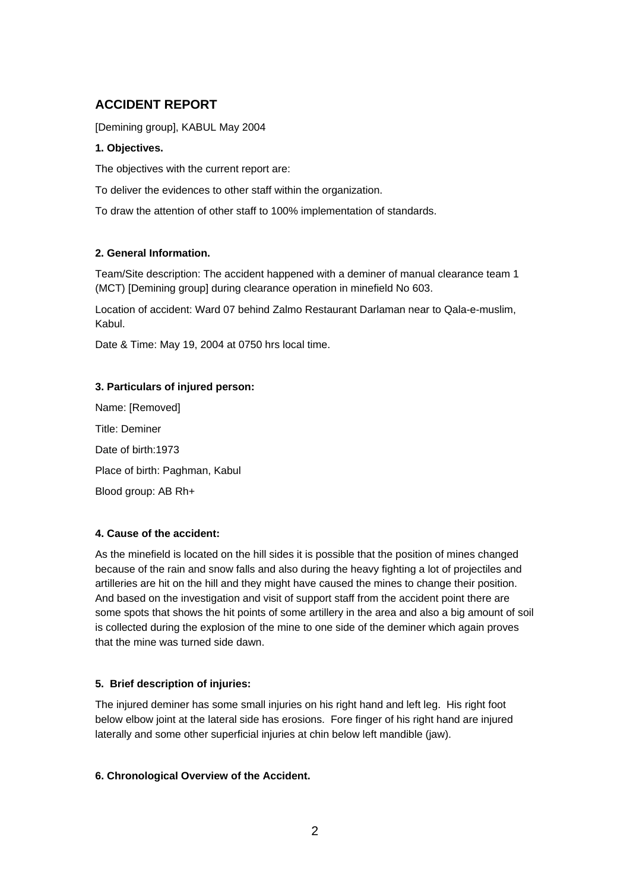# **ACCIDENT REPORT**

[Demining group], KABUL May 2004

#### **1. Objectives.**

The objectives with the current report are:

To deliver the evidences to other staff within the organization.

To draw the attention of other staff to 100% implementation of standards.

## **2. General Information.**

Team/Site description: The accident happened with a deminer of manual clearance team 1 (MCT) [Demining group] during clearance operation in minefield No 603.

Location of accident: Ward 07 behind Zalmo Restaurant Darlaman near to Qala-e-muslim, Kabul.

Date & Time: May 19, 2004 at 0750 hrs local time.

#### **3. Particulars of injured person:**

Name: [Removed] Title: Deminer Date of birth: 1973 Place of birth: Paghman, Kabul Blood group: AB Rh+

## **4. Cause of the accident:**

As the minefield is located on the hill sides it is possible that the position of mines changed because of the rain and snow falls and also during the heavy fighting a lot of projectiles and artilleries are hit on the hill and they might have caused the mines to change their position. And based on the investigation and visit of support staff from the accident point there are some spots that shows the hit points of some artillery in the area and also a big amount of soil is collected during the explosion of the mine to one side of the deminer which again proves that the mine was turned side dawn.

## **5. Brief description of injuries:**

The injured deminer has some small injuries on his right hand and left leg. His right foot below elbow joint at the lateral side has erosions. Fore finger of his right hand are injured laterally and some other superficial injuries at chin below left mandible (jaw).

## **6. Chronological Overview of the Accident.**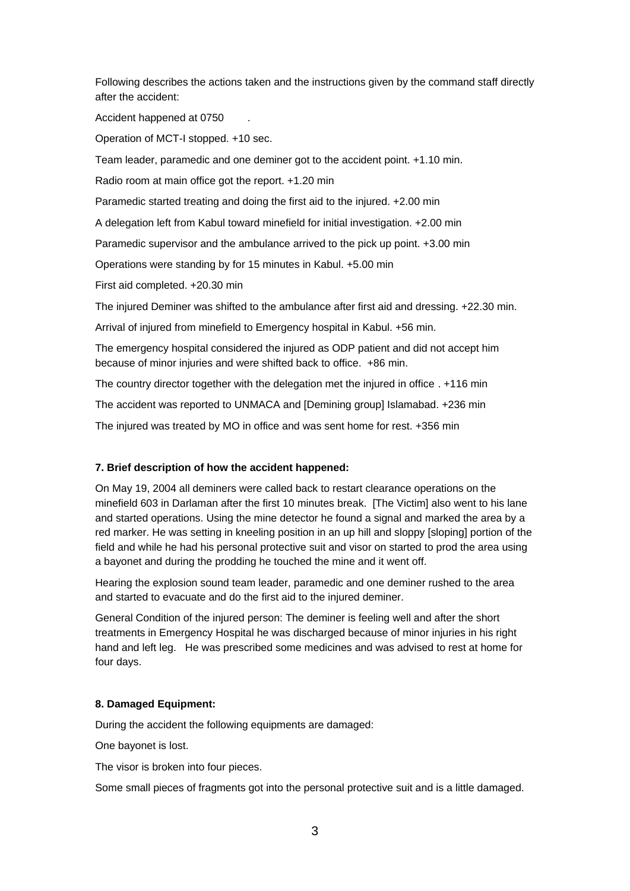Following describes the actions taken and the instructions given by the command staff directly after the accident:

Accident happened at 0750 .

Operation of MCT-I stopped. +10 sec.

Team leader, paramedic and one deminer got to the accident point. +1.10 min.

Radio room at main office got the report. +1.20 min

Paramedic started treating and doing the first aid to the injured. +2.00 min

A delegation left from Kabul toward minefield for initial investigation. +2.00 min

Paramedic supervisor and the ambulance arrived to the pick up point. +3.00 min

Operations were standing by for 15 minutes in Kabul. +5.00 min

First aid completed. +20.30 min

The injured Deminer was shifted to the ambulance after first aid and dressing. +22.30 min.

Arrival of injured from minefield to Emergency hospital in Kabul. +56 min.

The emergency hospital considered the injured as ODP patient and did not accept him because of minor injuries and were shifted back to office. +86 min.

The country director together with the delegation met the injured in office . +116 min

The accident was reported to UNMACA and [Demining group] Islamabad. +236 min

The injured was treated by MO in office and was sent home for rest. +356 min

#### **7. Brief description of how the accident happened:**

On May 19, 2004 all deminers were called back to restart clearance operations on the minefield 603 in Darlaman after the first 10 minutes break. [The Victim] also went to his lane and started operations. Using the mine detector he found a signal and marked the area by a red marker. He was setting in kneeling position in an up hill and sloppy [sloping] portion of the field and while he had his personal protective suit and visor on started to prod the area using a bayonet and during the prodding he touched the mine and it went off.

Hearing the explosion sound team leader, paramedic and one deminer rushed to the area and started to evacuate and do the first aid to the injured deminer.

General Condition of the injured person: The deminer is feeling well and after the short treatments in Emergency Hospital he was discharged because of minor injuries in his right hand and left leg. He was prescribed some medicines and was advised to rest at home for four days.

#### **8. Damaged Equipment:**

During the accident the following equipments are damaged:

One bayonet is lost.

The visor is broken into four pieces.

Some small pieces of fragments got into the personal protective suit and is a little damaged.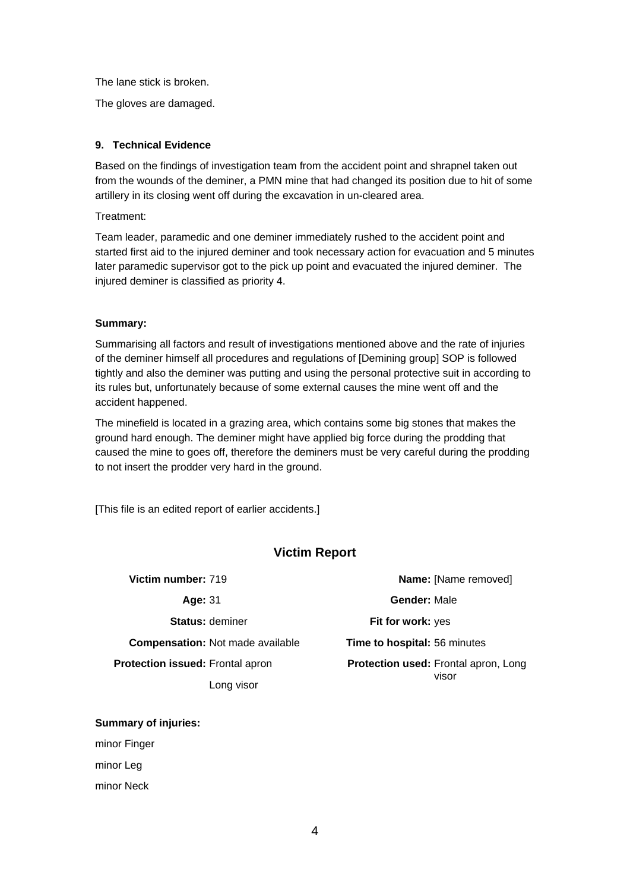The lane stick is broken.

The gloves are damaged.

#### **9. Technical Evidence**

Based on the findings of investigation team from the accident point and shrapnel taken out from the wounds of the deminer, a PMN mine that had changed its position due to hit of some artillery in its closing went off during the excavation in un-cleared area.

Treatment:

Team leader, paramedic and one deminer immediately rushed to the accident point and started first aid to the injured deminer and took necessary action for evacuation and 5 minutes later paramedic supervisor got to the pick up point and evacuated the injured deminer. The injured deminer is classified as priority 4.

#### **Summary:**

Summarising all factors and result of investigations mentioned above and the rate of injuries of the deminer himself all procedures and regulations of [Demining group] SOP is followed tightly and also the deminer was putting and using the personal protective suit in according to its rules but, unfortunately because of some external causes the mine went off and the accident happened.

The minefield is located in a grazing area, which contains some big stones that makes the ground hard enough. The deminer might have applied big force during the prodding that caused the mine to goes off, therefore the deminers must be very careful during the prodding to not insert the prodder very hard in the ground.

[This file is an edited report of earlier accidents.]

## **Victim Report**

| Victim number: 719                      | Name: [Name removed]                                 |  |
|-----------------------------------------|------------------------------------------------------|--|
| Age: 31                                 | <b>Gender: Male</b>                                  |  |
| <b>Status: deminer</b>                  | Fit for work: yes                                    |  |
| <b>Compensation:</b> Not made available | <b>Time to hospital: 56 minutes</b>                  |  |
| <b>Protection issued: Frontal apron</b> | <b>Protection used: Frontal apron, Long</b><br>visor |  |
| Long visor                              |                                                      |  |

**Summary of injuries:**

minor Finger

minor Leg

minor Neck